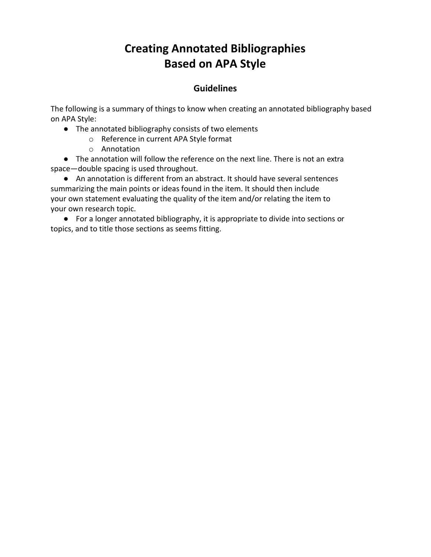## **Creating Annotated Bibliographies Based on APA Style**

## **Guidelines**

The following is a summary of things to know when creating an annotated bibliography based on APA Style:

- The annotated bibliography consists of two elements
	- o Reference in current APA Style format
	- o Annotation

● The annotation will follow the reference on the next line. There is not an extra space—double spacing is used throughout.

● An annotation is different from an abstract. It should have several sentences summarizing the main points or ideas found in the item. It should then include your own statement evaluating the quality of the item and/or relating the item to your own research topic.

● For a longer annotated bibliography, it is appropriate to divide into sections or topics, and to title those sections as seems fitting.